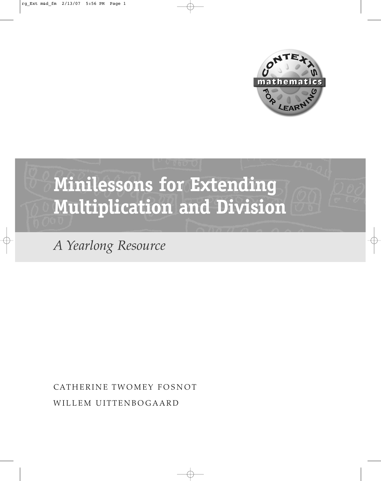



*A Yearlong Resource*

CATHERINE TWOMEY FOSNOT WILLEM UITTENBOGAARD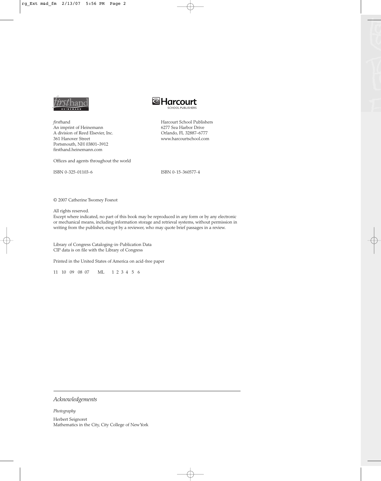

*first*hand An imprint of Heinemann A division of Reed Elsevier, Inc. 361 Hanover Street Portsmouth, NH 03801–3912 firsthand.heinemann.com

Offices and agents throughout the world

ISBN 0-325-01103-6

ISBN 0-15-360577-4

Harcourt School Publishers 6277 Sea Harbor Drive Orlando, FL 32887–6777 www.harcourtschool.com

**&Harcourt** 

© 2007 Catherine Twomey Fosnot

All rights reserved.

Except where indicated, no part of this book may be reproduced in any form or by any electronic or mechanical means, including information storage and retrieval systems, without permission in writing from the publisher, except by a reviewer, who may quote brief passages in a review.

Library of Congress Cataloging-in-Publication Data CIP data is on file with the Library of Congress

Printed in the United States of America on acid-free paper

11 10 09 08 07 ML 1 2 3 4 5 6

*Acknowledgements*

*Photography* Herbert Seignoret Mathematics in the City, City College of New York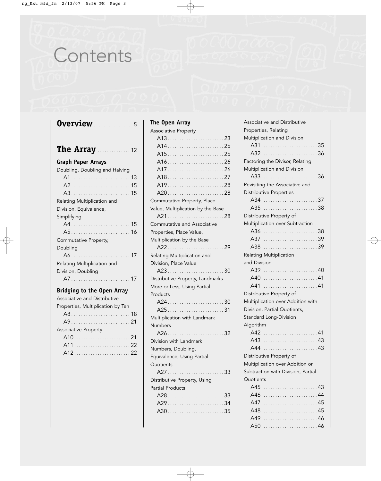# Contents

| <b>Overview</b> 5                                           |
|-------------------------------------------------------------|
| <b>The Array</b> 12                                         |
| <b>Graph Paper Arrays</b><br>Doubling, Doubling and Halving |
| A315<br>Relating Multiplication and                         |
| Division, Equivalence,<br>Simplifying                       |
|                                                             |
| Commutative Property,<br>Doubling                           |
| Relating Multiplication and<br>Division, Doubling           |
| A717<br><b>Bridging to the Open Array</b>                   |
| Associative and Distributive                                |
| Properties, Multiplication by Ten                           |
| <b>Associative Property</b>                                 |
|                                                             |

# **The Open Array**

| <b>Associative Property</b>                                                                      |
|--------------------------------------------------------------------------------------------------|
|                                                                                                  |
|                                                                                                  |
|                                                                                                  |
|                                                                                                  |
|                                                                                                  |
|                                                                                                  |
|                                                                                                  |
|                                                                                                  |
| Commutative Property, Place                                                                      |
| Value, Multiplication by the Base                                                                |
|                                                                                                  |
| Commutative and Associative                                                                      |
| Properties, Place Value,                                                                         |
| Multiplication by the Base                                                                       |
| A2229                                                                                            |
| Relating Multiplication and                                                                      |
| Division, Place Value                                                                            |
|                                                                                                  |
|                                                                                                  |
| Distributive Property, Landmarks                                                                 |
| More or Less, Using Partial                                                                      |
| Products                                                                                         |
| A2430                                                                                            |
| A2531                                                                                            |
| Multiplication with Landmark                                                                     |
| Numbers                                                                                          |
| A2632                                                                                            |
| Division with Landmark                                                                           |
| Numbers, Doubling,                                                                               |
| Equivalence, Using Partial                                                                       |
| Quotients                                                                                        |
|                                                                                                  |
| $A27 \ldots \ldots \ldots \ldots \ldots \ldots \ldots \ldots 33$<br>Distributive Property, Using |
| <b>Partial Products</b>                                                                          |
| A2833                                                                                            |
| A2934                                                                                            |
| A3035                                                                                            |

| Associative and Distributive       |
|------------------------------------|
| Properties, Relating               |
| Multiplication and Division        |
| A3135                              |
|                                    |
| Factoring the Divisor, Relating    |
| Multiplication and Division        |
| A3336                              |
| Revisiting the Associative and     |
| Distributive Properties            |
| A3437                              |
| A3538                              |
| Distributive Property of           |
| Multiplication over Subtraction    |
| A3638                              |
| A3739                              |
| A3839                              |
| Relating Multiplication            |
| and Division                       |
| A3940                              |
|                                    |
| A4141                              |
| Distributive Property of           |
| Multiplication over Addition with  |
| Division, Partial Quotients,       |
| Standard Long-Division             |
|                                    |
| Algorithm                          |
| A4241                              |
| A4343                              |
| A4443                              |
| Distributive Property of           |
| Multiplication over Addition or    |
| Subtraction with Division, Partial |
| Quotients                          |
| A4543                              |
|                                    |
| A4745                              |
| A4845                              |
| A4946                              |
|                                    |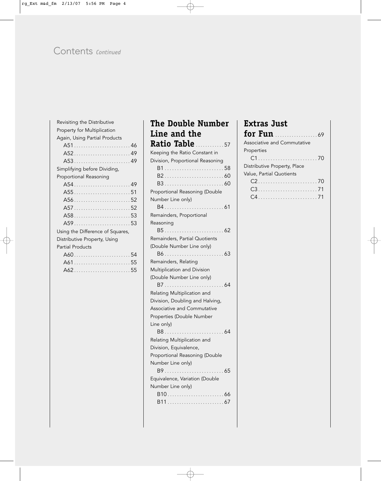# Contents *Continued*

| Revisiting the Distributive      |  |
|----------------------------------|--|
| Property for Multiplication      |  |
| Again, Using Partial Products    |  |
| A5146                            |  |
| A5249                            |  |
| A5349                            |  |
| Simplifying before Dividing,     |  |
| Proportional Reasoning           |  |
|                                  |  |
|                                  |  |
|                                  |  |
|                                  |  |
| A5853                            |  |
|                                  |  |
| Using the Difference of Squares, |  |
| Distributive Property, Using     |  |
| <b>Partial Products</b>          |  |
|                                  |  |
| A6155                            |  |
| A6255                            |  |
|                                  |  |

# **The Double Number Line and the Ratio Table** ............ <sup>57</sup> Keeping the Ratio Constant in Division, Proportional Reasoning B1 ........................ 58 B2 ........................ 60 B3 ........................ 60 Proportional Reasoning (Double Number Line only) B4 ........................ 61 Remainders, Proportional Reasoning B5 ........................ 62 Remainders, Partial Quotients (Double Number Line only) B6 ........................ 63 Remainders, Relating Multiplication and Division (Double Number Line only) B7 ........................ 64 Relating Multiplication and Division, Doubling and Halving, Associative and Commutative Properties (Double Number Line only) B8 ........................ 64 Relating Multiplication and Division, Equivalence, Proportional Reasoning (Double Number Line only) B9 ........................ 65 Equivalence, Variation (Double Number Line only) B10 ........................ 66 B11 ........................ 67

# **Extras Just for Fun** .................. <sup>69</sup> Associative and Commutative Properties C1 ........................ 70

Distributive Property, Place Value, Partial Quotients C2 ........................ 70 C3 ........................ 71 C4 ........................ 71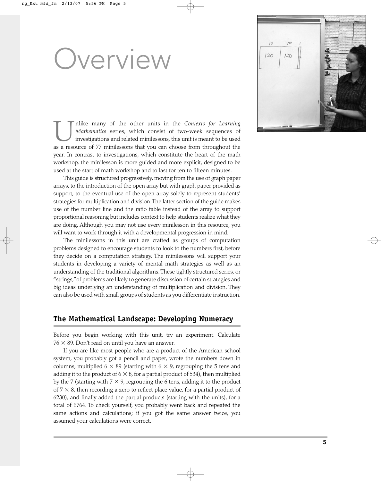# Overview

nlike many of the other units in the *Contexts for Learning Mathematics* series, which consist of two-week sequences of investigations and related minilessons, this unit is meant to be used as a resource of 77 minilessons that you can choose from throughout the year. In contrast to investigations, which constitute the heart of the math workshop, the minilesson is more guided and more explicit, designed to be used at the start of math workshop and to last for ten to fifteen minutes.

This guide is structured progressively, moving from the use of graph paper arrays, to the introduction of the open array but with graph paper provided as support, to the eventual use of the open array solely to represent students' strategies for multiplication and division.The latter section of the guide makes use of the number line and the ratio table instead of the array to support proportional reasoning but includes context to help students realize what they are doing. Although you may not use every minilesson in this resource, you will want to work through it with a developmental progression in mind.

The minilessons in this unit are crafted as groups of computation problems designed to encourage students to look to the numbers first, before they decide on a computation strategy. The minilessons will support your students in developing a variety of mental math strategies as well as an understanding of the traditional algorithms. These tightly structured series, or "strings,"of problems are likely to generate discussion of certain strategies and big ideas underlying an understanding of multiplication and division. They can also be used with small groups of students as you differentiate instruction.

#### **The Mathematical Landscape: Developing Numeracy**

Before you begin working with this unit, try an experiment. Calculate  $76 \times 89$ . Don't read on until you have an answer.

If you are like most people who are a product of the American school system, you probably got a pencil and paper, wrote the numbers down in columns, multiplied 6  $\times$  89 (starting with 6  $\times$  9, regrouping the 5 tens and adding it to the product of 6  $\times$  8, for a partial product of 534), then multiplied by the 7 (starting with 7  $\times$  9, regrouping the 6 tens, adding it to the product of  $7 \times 8$ , then recording a zero to reflect place value, for a partial product of 6230), and finally added the partial products (starting with the units), for a total of 6764. To check yourself, you probably went back and repeated the same actions and calculations; if you got the same answer twice, you assumed your calculations were correct.

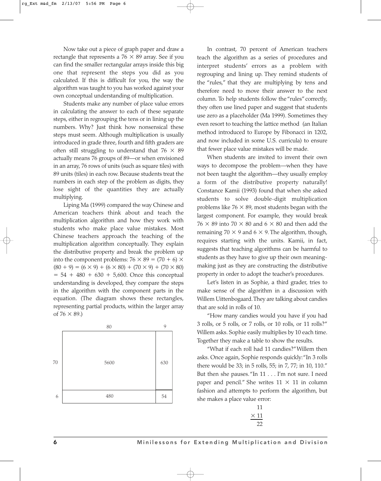Now take out a piece of graph paper and draw a rectangle that represents a  $76 \times 89$  array. See if you can find the smaller rectangular arrays inside this big one that represent the steps you did as you calculated. If this is difficult for you, the way the algorithm was taught to you has worked against your own conceptual understanding of multiplication.

Students make any number of place value errors in calculating the answer to each of these separate steps, either in regrouping the tens or in lining up the numbers. Why? Just think how nonsensical these steps must seem. Although multiplication is usually introduced in grade three, fourth and fifth graders are often still struggling to understand that  $76 \times 89$ actually means 76 groups of 89—or when envisioned in an array, 76 rows of units (such as square tiles) with 89 units (tiles) in each row. Because students treat the numbers in each step of the problem as digits, they lose sight of the quantities they are actually multiplying.

Liping Ma (1999) compared the way Chinese and American teachers think about and teach the multiplication algorithm and how they work with students who make place value mistakes. Most Chinese teachers approach the teaching of the multiplication algorithm conceptually. They explain the distributive property and break the problem up into the component problems:  $76 \times 89 = (70 + 6) \times$  $(80 + 9) = (6 \times 9) + (6 \times 80) + (70 \times 9) + (70 \times 80)$  $= 54 + 480 + 630 + 5,600$ . Once this conceptual understanding is developed, they compare the steps in the algorithm with the component parts in the equation. (The diagram shows these rectangles, representing partial products, within the larger array of  $76 \times 89$ .)



In contrast, 70 percent of American teachers teach the algorithm as a series of procedures and interpret students' errors as a problem with regrouping and lining up. They remind students of the "rules," that they are multiplying by tens and therefore need to move their answer to the next column. To help students follow the "rules" correctly, they often use lined paper and suggest that students use zero as a placeholder (Ma 1999). Sometimes they even resort to teaching the lattice method (an Italian method introduced to Europe by Fibonacci in 1202, and now included in some U.S. curricula) to ensure that fewer place value mistakes will be made.

When students are invited to invent their own ways to decompose the problem—when they have not been taught the algorithm—they usually employ a form of the distributive property naturally! Constance Kamii (1993) found that when she asked students to solve double-digit multiplication problems like  $76 \times 89$ , most students began with the largest component. For example, they would break  $76 \times 89$  into  $70 \times 80$  and  $6 \times 80$  and then add the remaining 70  $\times$  9 and 6  $\times$  9. The algorithm, though, requires starting with the units. Kamii, in fact, suggests that teaching algorithms can be harmful to students as they have to give up their own meaningmaking just as they are constructing the distributive property in order to adopt the teacher's procedures.

Let's listen in as Sophie, a third grader, tries to make sense of the algorithm in a discussion with Willem Uittenbogaard.They are talking about candies that are sold in rolls of 10.

"How many candies would you have if you had 3 rolls, or 5 rolls, or 7 rolls, or 10 rolls, or 11 rolls?" Willem asks. Sophie easily multiplies by 10 each time. Together they make a table to show the results.

"What if each roll had 11 candies?"Willem then asks. Once again, Sophie responds quickly: "In 3 rolls there would be 33; in 5 rolls, 55; in 7, 77; in 10, 110." But then she pauses."In 11 . . . I'm not sure. I need paper and pencil." She writes  $11 \times 11$  in column fashion and attempts to perform the algorithm, but she makes a place value error:

| ۰, | L      |
|----|--------|
|    | ,<br>г |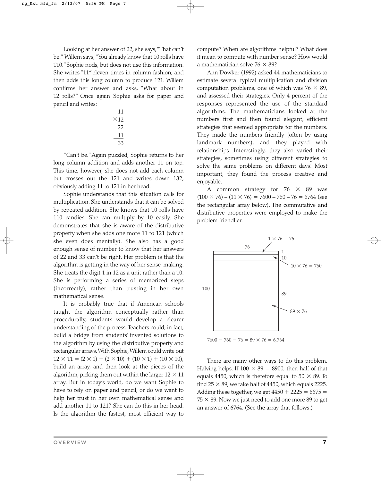Looking at her answer of 22, she says,"That can't be." Willem says,"You already know that 10 rolls have 110."Sophie nods, but does not use this information. She writes "11" eleven times in column fashion, and then adds this long column to produce 121. Willem confirms her answer and asks, "What about in 12 rolls?" Once again Sophie asks for paper and pencil and writes:

$$
\begin{array}{r} 11 \\ \times 12 \\ \hline 22 \\ 11 \\ \hline 33 \end{array}
$$

"Can't be."Again puzzled, Sophie returns to her long column addition and adds another 11 on top. This time, however, she does not add each column but crosses out the 121 and writes down 132, obviously adding 11 to 121 in her head.

Sophie understands that this situation calls for multiplication. She understands that it can be solved by repeated addition. She knows that 10 rolls have 110 candies. She can multiply by 10 easily. She demonstrates that she is aware of the distributive property when she adds one more 11 to 121 (which she even does mentally). She also has a good enough sense of number to know that her answers of 22 and 33 can't be right. Her problem is that the algorithm is getting in the way of her sense-making. She treats the digit 1 in 12 as a unit rather than a 10. She is performing a series of memorized steps (incorrectly), rather than trusting in her own mathematical sense.

It is probably true that if American schools taught the algorithm conceptually rather than procedurally, students would develop a clearer understanding of the process. Teachers could, in fact, build a bridge from students' invented solutions to the algorithm by using the distributive property and rectangular arrays.With Sophie,Willem could write out  $12 \times 11 = (2 \times 1) + (2 \times 10) + (10 \times 1) + (10 \times 10)$ , build an array, and then look at the pieces of the algorithm, picking them out within the larger 12  $\times$  11 array. But in today's world, do we want Sophie to have to rely on paper and pencil, or do we want to help her trust in her own mathematical sense and add another 11 to 121? She can do this in her head. Is the algorithm the fastest, most efficient way to compute? When are algorithms helpful? What does it mean to compute with number sense? How would a mathematician solve 76  $\times$  89?

Ann Dowker (1992) asked 44 mathematicians to estimate several typical multiplication and division computation problems, one of which was  $76 \times 89$ , and assessed their strategies. Only 4 percent of the responses represented the use of the standard algorithms. The mathematicians looked at the numbers first and then found elegant, efficient strategies that seemed appropriate for the numbers. They made the numbers friendly (often by using landmark numbers), and they played with relationships. Interestingly, they also varied their strategies, sometimes using different strategies to solve the same problems on different days! Most important, they found the process creative and enjoyable.

A common strategy for  $76 \times 89$  was  $(100 \times 76) - (11 \times 76) = 7600 - 760 - 76 = 6764$  (see the rectangular array below). The commutative and distributive properties were employed to make the problem friendlier.



There are many other ways to do this problem. Halving helps. If  $100 \times 89 = 8900$ , then half of that equals 4450, which is therefore equal to 50  $\times$  89. To find 25  $\times$  89, we take half of 4450, which equals 2225. Adding these together, we get  $4450 + 2225 = 6675 =$  $75 \times 89.$  Now we just need to add one more  $89$  to get an answer of 6764. (See the array that follows.)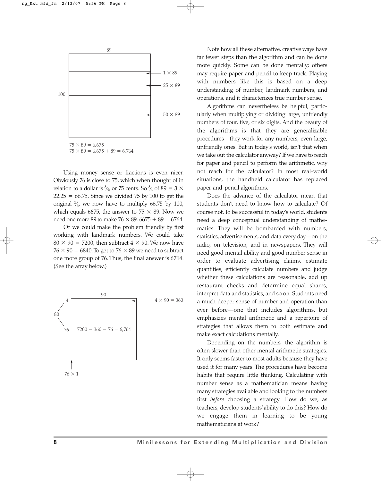

Using money sense or fractions is even nicer. Obviously 76 is close to 75, which when thought of in relation to a dollar is  $\frac{3}{4}$ , or 75 cents. So  $\frac{3}{4}$  of 89 = 3  $\times$ ⁄ ⁄  $22.25 = 66.75$ . Since we divided 75 by 100 to get the original  $\frac{3}{4}$ , we now have to multiply 66.75 by 100, ⁄ which equals 6675, the answer to 75  $\times$  89. Now we need one more 89 to make 76  $\times$  89: 6675 + 89 = 6764.

Or we could make the problem friendly by first working with landmark numbers. We could take  $80 \times 90 = 7200$ , then subtract  $4 \times 90$ . We now have  $76 \times 90 = 6840$ . To get to  $76 \times 89$  we need to subtract one more group of 76. Thus, the final answer is 6764. (See the array below.)



Note how all these alternative, creative ways have far fewer steps than the algorithm and can be done more quickly. Some can be done mentally; others may require paper and pencil to keep track. Playing with numbers like this is based on a deep understanding of number, landmark numbers, and operations, and it characterizes true number sense.

Algorithms can nevertheless be helpful, particularly when multiplying or dividing large, unfriendly numbers of four, five, or six digits. And the beauty of the algorithms is that they are generalizable procedures—they work for any numbers, even large, unfriendly ones. But in today's world, isn't that when we take out the calculator anyway? If we have to reach for paper and pencil to perform the arithmetic, why not reach for the calculator? In most real-world situations, the handheld calculator has replaced paper-and-pencil algorithms.

Does the advance of the calculator mean that students don't need to know how to calculate? Of course not.To be successful in today's world, students need a deep conceptual understanding of mathematics. They will be bombarded with numbers, statistics, advertisements, and data every day—on the radio, on television, and in newspapers. They will need good mental ability and good number sense in order to evaluate advertising claims, estimate quantities, efficiently calculate numbers and judge whether these calculations are reasonable, add up restaurant checks and determine equal shares, interpret data and statistics, and so on. Students need a much deeper sense of number and operation than ever before—one that includes algorithms, but emphasizes mental arithmetic and a repertoire of strategies that allows them to both estimate and make exact calculations mentally.

Depending on the numbers, the algorithm is often slower than other mental arithmetic strategies. It only seems faster to most adults because they have used it for many years. The procedures have become habits that require little thinking. Calculating with number sense as a mathematician means having many strategies available and looking to the numbers first *before* choosing a strategy. How do we, as teachers, develop students'ability to do this? How do we engage them in learning to be young mathematicians at work?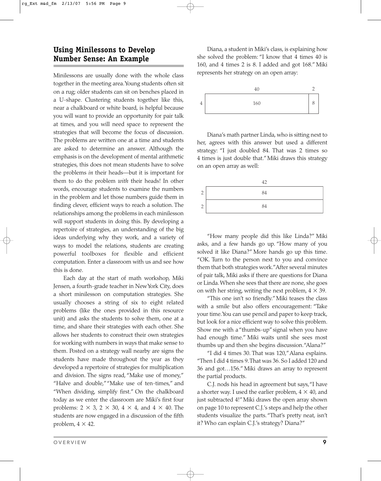### **Using Minilessons to Develop Number Sense: An Example**

Minilessons are usually done with the whole class together in the meeting area.Young students often sit on a rug; older students can sit on benches placed in a U-shape. Clustering students together like this, near a chalkboard or white board, is helpful because you will want to provide an opportunity for pair talk at times, and you will need space to represent the strategies that will become the focus of discussion. The problems are written one at a time and students are asked to determine an answer. Although the emphasis is on the development of mental arithmetic strategies, this does not mean students have to solve the problems *in* their heads—but it is important for them to do the problem *with* their heads! In other words, encourage students to examine the numbers in the problem and let those numbers guide them in finding clever, efficient ways to reach a solution. The relationships among the problems in each minilesson will support students in doing this. By developing a repertoire of strategies, an understanding of the big ideas underlying why they work, and a variety of ways to model the relations, students are creating powerful toolboxes for flexible and efficient computation. Enter a classroom with us and see how this is done.

Each day at the start of math workshop, Miki Jensen, a fourth-grade teacher in New York City, does a short minilesson on computation strategies. She usually chooses a string of six to eight related problems (like the ones provided in this resource unit) and asks the students to solve them, one at a time, and share their strategies with each other. She allows her students to construct their own strategies for working with numbers in ways that make sense to them. Posted on a strategy wall nearby are signs the students have made throughout the year as they developed a repertoire of strategies for multiplication and division. The signs read, "Make use of money," "Halve and double,""Make use of ten-times," and "When dividing, simplify first." On the chalkboard today as we enter the classroom are Miki's first four problems: 2  $\times$  3, 2  $\times$  30, 4  $\times$  4, and 4  $\times$  40. The students are now engaged in a discussion of the fifth problem,  $4 \times 42$ .

Diana, a student in Miki's class, is explaining how she solved the problem: "I know that 4 times 40 is 160, and 4 times 2 is 8. I added and got 168." Miki represents her strategy on an open array:



Diana's math partner Linda, who is sitting next to her, agrees with this answer but used a different strategy: "I just doubled 84. That was 2 times so 4 times is just double that." Miki draws this strategy on an open array as well:

|   | 42 |
|---|----|
| ◠ | 84 |
| ◠ | 84 |

"How many people did this like Linda?" Miki asks, and a few hands go up. "How many of you solved it like Diana?" More hands go up this time. "OK. Turn to the person next to you and convince them that both strategies work."After several minutes of pair talk, Miki asks if there are questions for Diana or Linda. When she sees that there are none, she goes on with her string, writing the next problem,  $4 \times 39$ .

"This one isn't so friendly." Miki teases the class with a smile but also offers encouragement: "Take your time.You can use pencil and paper to keep track, but look for a nice efficient way to solve this problem. Show me with a "thumbs-up"signal when you have had enough time." Miki waits until she sees most thumbs up and then she begins discussion."Alana?"

"I did 4 times 30. That was 120,"Alana explains. "Then I did 4 times 9.That was 36. So I added 120 and 36 and got…156." Miki draws an array to represent the partial products.

C.J. nods his head in agreement but says,"I have a shorter way. I used the earlier problem,  $4 \times 40$ , and just subtracted 4!" Miki draws the open array shown on page 10 to represent C.J.'s steps and help the other students visualize the parts."That's pretty neat, isn't it? Who can explain C.J.'s strategy? Diana?"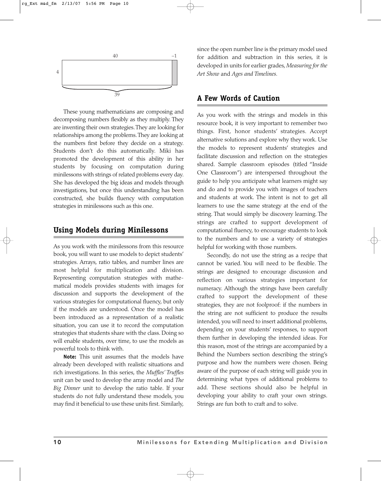

These young mathematicians are composing and decomposing numbers flexibly as they multiply. They are inventing their own strategies.They are looking for relationships among the problems.They are looking at the numbers first before they decide on a strategy. Students don't do this automatically. Miki has promoted the development of this ability in her students by focusing on computation during minilessons with strings of related problems every day. She has developed the big ideas and models through investigations, but once this understanding has been constructed, she builds fluency with computation strategies in minilessons such as this one.

#### **Using Models during Minilessons**

As you work with the minilessons from this resource book, you will want to use models to depict students' strategies. Arrays, ratio tables, and number lines are most helpful for multiplication and division. Representing computation strategies with mathematical models provides students with images for discussion and supports the development of the various strategies for computational fluency, but only if the models are understood. Once the model has been introduced as a representation of a realistic situation, you can use it to record the computation strategies that students share with the class. Doing so will enable students, over time, to use the models as powerful tools to think with.

**Note:** This unit assumes that the models have already been developed with realistic situations and rich investigations. In this series, the *Muffles' Truffles* unit can be used to develop the array model and *The Big Dinner* unit to develop the ratio table. If your students do not fully understand these models, you may find it beneficial to use these units first. Similarly, since the open number line is the primary model used for addition and subtraction in this series, it is developed in units for earlier grades, *Measuring for the Art Show* and *Ages and Timelines.*

#### **A Few Words of Caution**

As you work with the strings and models in this resource book, it is very important to remember two things. First, honor students' strategies. Accept alternative solutions and explore why they work. Use the models to represent students' strategies and facilitate discussion and reflection on the strategies shared. Sample classroom episodes (titled "Inside One Classroom") are interspersed throughout the guide to help you anticipate what learners might say and do and to provide you with images of teachers and students at work. The intent is not to get all learners to use the same strategy at the end of the string. That would simply be discovery learning. The strings are crafted to support development of computational fluency, to encourage students to look to the numbers and to use a variety of strategies helpful for working with those numbers.

Secondly, do not use the string as a recipe that cannot be varied. You will need to be flexible. The strings are designed to encourage discussion and reflection on various strategies important for numeracy. Although the strings have been carefully crafted to support the development of these strategies, they are not foolproof: if the numbers in the string are not sufficient to produce the results intended, you will need to insert additional problems, depending on your students' responses, to support them further in developing the intended ideas. For this reason, most of the strings are accompanied by a Behind the Numbers section describing the string's purpose and how the numbers were chosen. Being aware of the purpose of each string will guide you in determining what types of additional problems to add. These sections should also be helpful in developing your ability to craft your own strings. Strings are fun both to craft and to solve.